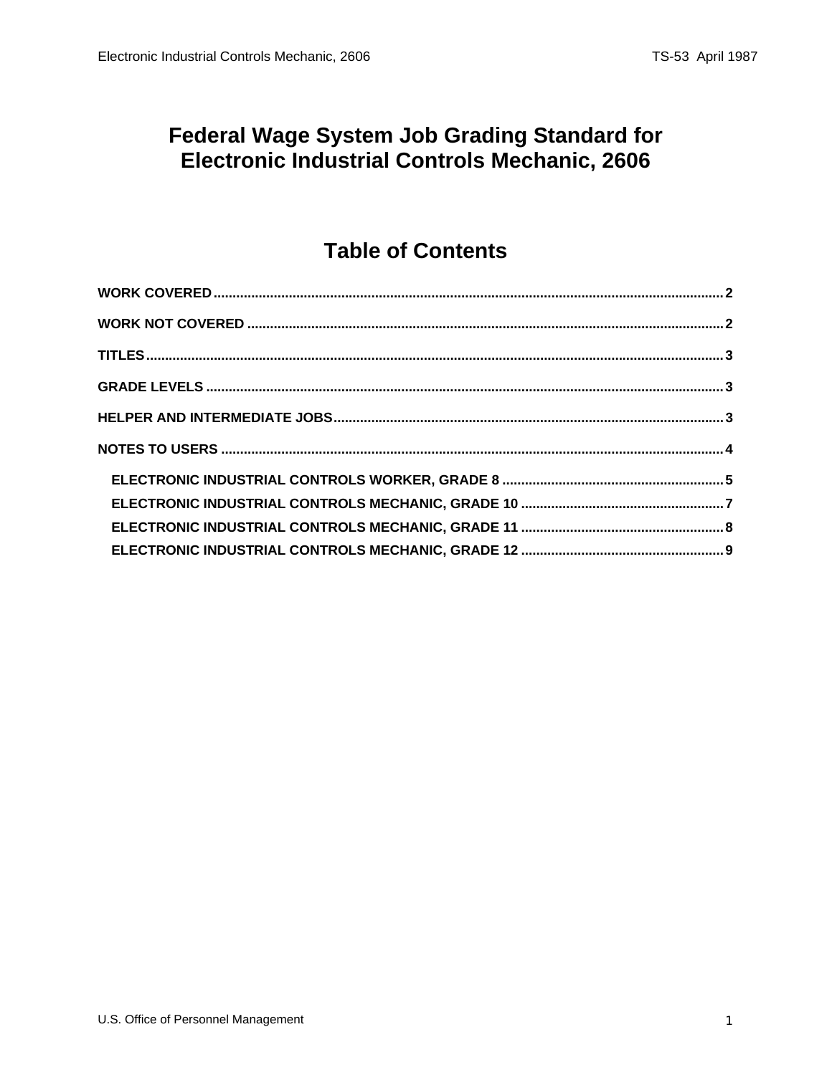#### **Federal Wage System Job Grading Standard for** Electronic Industrial Controls Mechanic, 2606

# **Table of Contents**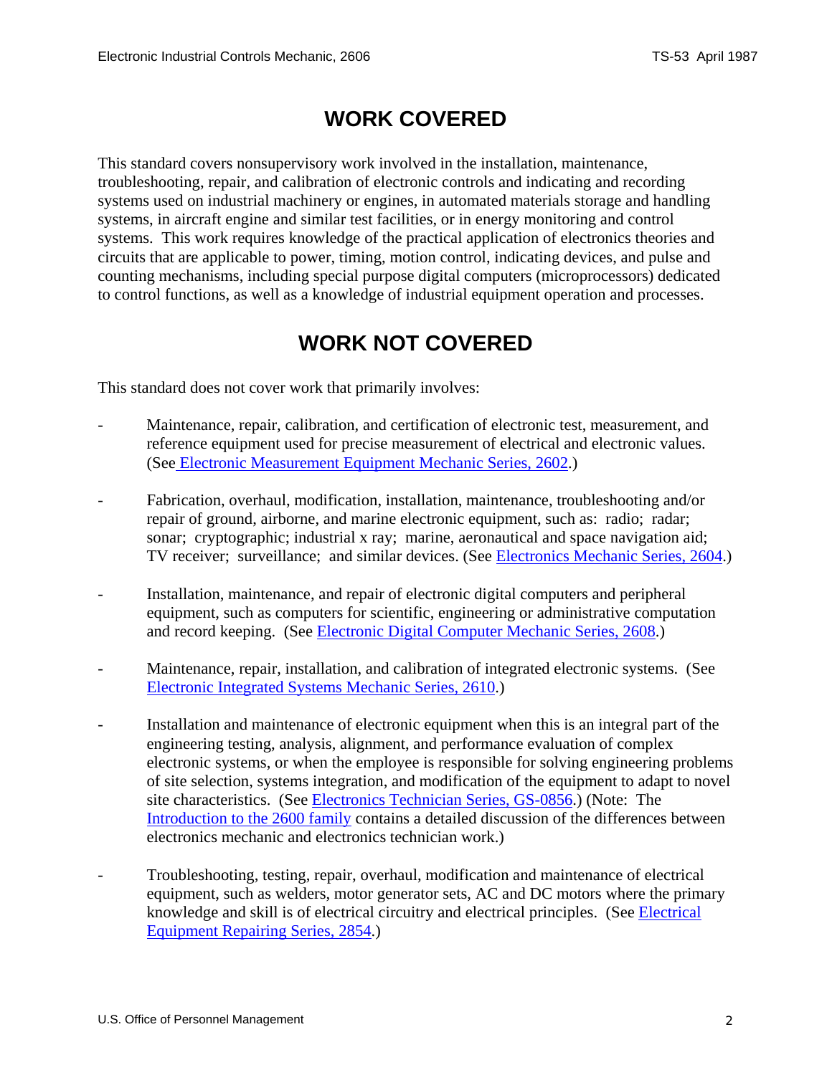## **WORK COVERED**

<span id="page-1-0"></span>This standard covers nonsupervisory work involved in the installation, maintenance, troubleshooting, repair, and calibration of electronic controls and indicating and recording systems used on industrial machinery or engines, in automated materials storage and handling systems, in aircraft engine and similar test facilities, or in energy monitoring and control systems. This work requires knowledge of the practical application of electronics theories and circuits that are applicable to power, timing, motion control, indicating devices, and pulse and counting mechanisms, including special purpose digital computers (microprocessors) dedicated to control functions, as well as a knowledge of industrial equipment operation and processes.

### **WORK NOT COVERED**

This standard does not cover work that primarily involves:

- Maintenance, repair, calibration, and certification of electronic test, measurement, and reference equipment used for precise measurement of electrical and electronic values. (See Electronic Measurement Equipment Mechanic Series, 2602.)
- Fabrication, overhaul, modification, installation, maintenance, troubleshooting and/or repair of ground, airborne, and marine electronic equipment, such as: radio; radar; sonar; cryptographic; industrial x ray; marine, aeronautical and space navigation aid; TV receiver; surveillance; and similar devices. (See Electronics Mechanic Series, 2604.)
- Installation, maintenance, and repair of electronic digital computers and peripheral equipment, such as computers for scientific, engineering or administrative computation and record keeping. (See Electronic Digital Computer Mechanic Series, 2608.)
- Maintenance, repair, installation, and calibration of integrated electronic systems. (See Electronic Integrated Systems Mechanic Series, 2610.)
- Installation and maintenance of electronic equipment when this is an integral part of the engineering testing, analysis, alignment, and performance evaluation of complex electronic systems, or when the employee is responsible for solving engineering problems of site selection, systems integration, and modification of the equipment to adapt to novel site characteristics. (See Electronics Technician Series, GS-0856.) (Note: The Introduction to the 2600 family contains a detailed discussion of the differences between electronics mechanic and electronics technician work.)
- Troubleshooting, testing, repair, overhaul, modification and maintenance of electrical equipment, such as welders, motor generator sets, AC and DC motors where the primary knowledge and skill is of electrical circuitry and electrical principles. (See Electrical Equipment Repairing Series, 2854.)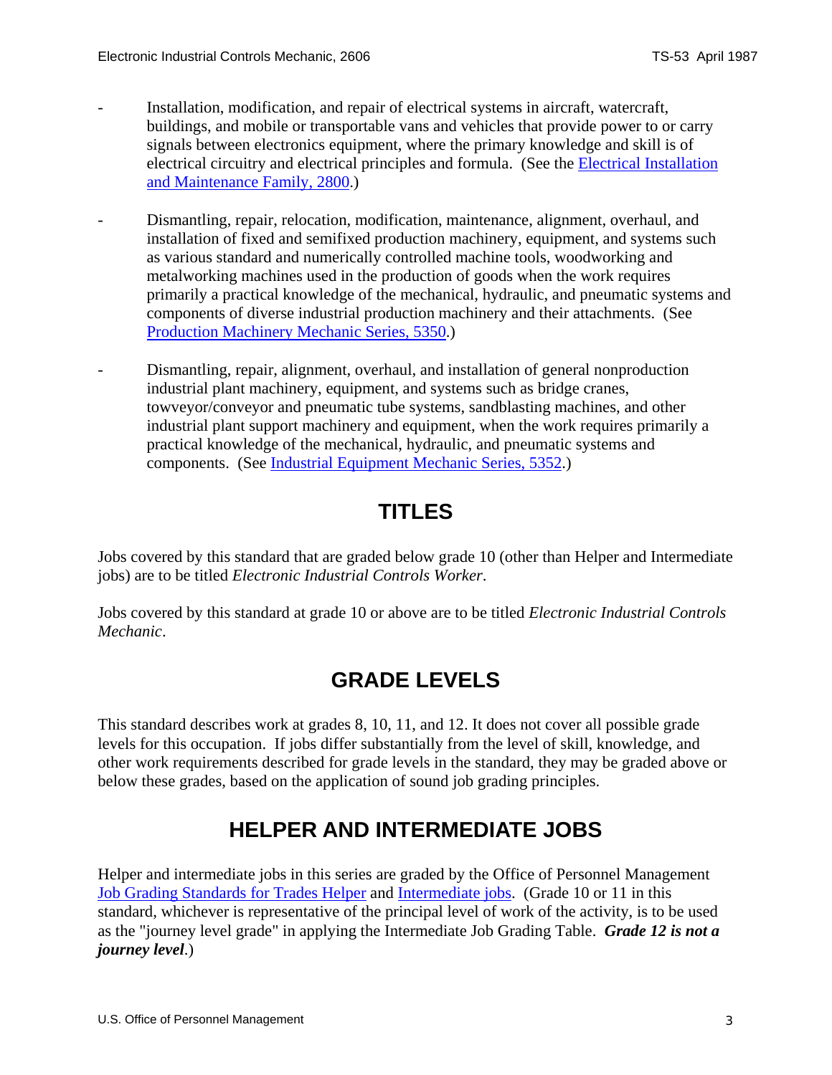- <span id="page-2-0"></span>Installation, modification, and repair of electrical systems in aircraft, watercraft, buildings, and mobile or transportable vans and vehicles that provide power to or carry signals between electronics equipment, where the primary knowledge and skill is of electrical circuitry and electrical principles and formula. (See the **Electrical Installation** and Maintenance Family, 2800.)
- Dismantling, repair, relocation, modification, maintenance, alignment, overhaul, and installation of fixed and semifixed production machinery, equipment, and systems such as various standard and numerically controlled machine tools, woodworking and metalworking machines used in the production of goods when the work requires primarily a practical knowledge of the mechanical, hydraulic, and pneumatic systems and components of diverse industrial production machinery and their attachments. (See Production Machinery Mechanic Series, 5350.)
- Dismantling, repair, alignment, overhaul, and installation of general nonproduction industrial plant machinery, equipment, and systems such as bridge cranes, towveyor/conveyor and pneumatic tube systems, sandblasting machines, and other industrial plant support machinery and equipment, when the work requires primarily a practical knowledge of the mechanical, hydraulic, and pneumatic systems and components. (See Industrial Equipment Mechanic Series, 5352.)

### **TITLES**

Jobs covered by this standard that are graded below grade 10 (other than Helper and Intermediate jobs) are to be titled *Electronic Industrial Controls Worker*.

Jobs covered by this standard at grade 10 or above are to be titled *Electronic Industrial Controls Mechanic*.

## **GRADE LEVELS**

This standard describes work at grades 8, 10, 11, and 12. It does not cover all possible grade levels for this occupation. If jobs differ substantially from the level of skill, knowledge, and other work requirements described for grade levels in the standard, they may be graded above or below these grades, based on the application of sound job grading principles.

## **HELPER AND INTERMEDIATE JOBS**

Helper and intermediate jobs in this series are graded by the Office of Personnel Management Job Grading Standards for Trades Helper and Intermediate jobs. (Grade 10 or 11 in this standard, whichever is representative of the principal level of work of the activity, is to be used as the "journey level grade" in applying the Intermediate Job Grading Table. *Grade 12 is not a journey level*.)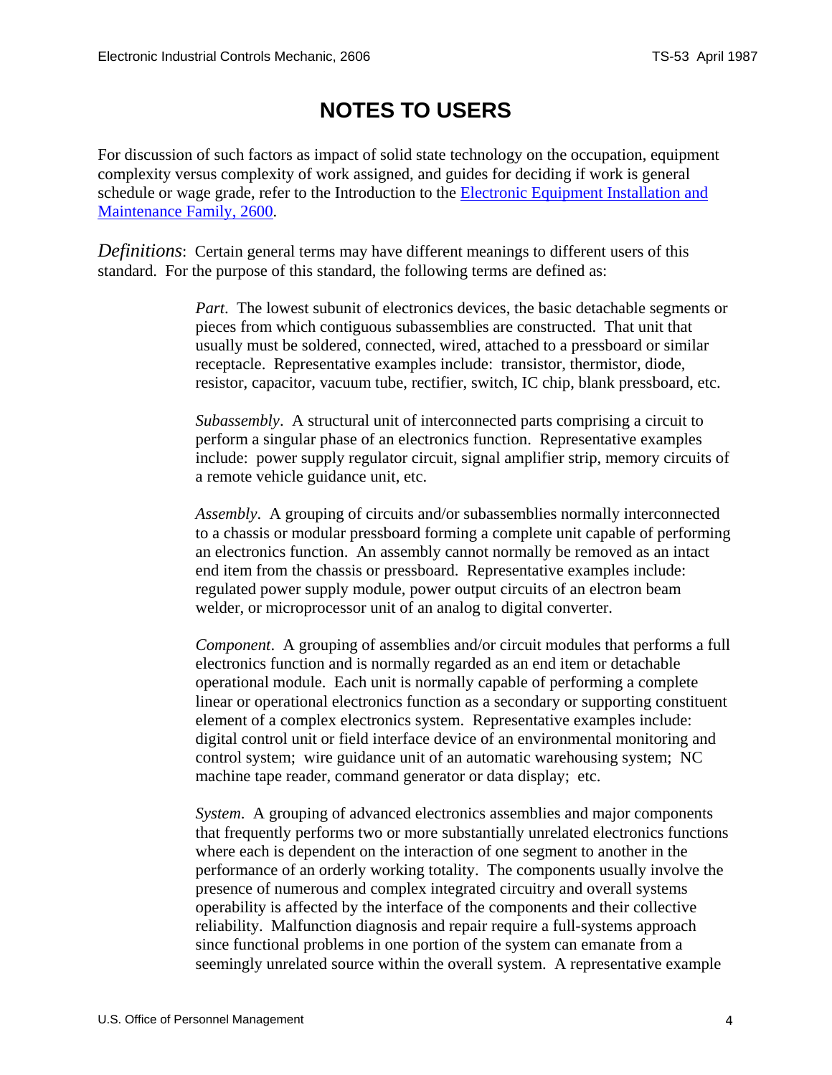## **NOTES TO USERS**

<span id="page-3-0"></span>For discussion of such factors as impact of solid state technology on the occupation, equipment complexity versus complexity of work assigned, and guides for deciding if work is general schedule or wage grade, refer to the Introduction to the Electronic Equipment Installation and Maintenance Family, 2600.

*Definitions*: Certain general terms may have different meanings to different users of this standard. For the purpose of this standard, the following terms are defined as:

> *Part*. The lowest subunit of electronics devices, the basic detachable segments or pieces from which contiguous subassemblies are constructed. That unit that usually must be soldered, connected, wired, attached to a pressboard or similar receptacle. Representative examples include: transistor, thermistor, diode, resistor, capacitor, vacuum tube, rectifier, switch, IC chip, blank pressboard, etc.

> *Subassembly*. A structural unit of interconnected parts comprising a circuit to perform a singular phase of an electronics function. Representative examples include: power supply regulator circuit, signal amplifier strip, memory circuits of a remote vehicle guidance unit, etc.

> *Assembly*. A grouping of circuits and/or subassemblies normally interconnected to a chassis or modular pressboard forming a complete unit capable of performing an electronics function. An assembly cannot normally be removed as an intact end item from the chassis or pressboard. Representative examples include: regulated power supply module, power output circuits of an electron beam welder, or microprocessor unit of an analog to digital converter.

> *Component*. A grouping of assemblies and/or circuit modules that performs a full electronics function and is normally regarded as an end item or detachable operational module. Each unit is normally capable of performing a complete linear or operational electronics function as a secondary or supporting constituent element of a complex electronics system. Representative examples include: digital control unit or field interface device of an environmental monitoring and control system; wire guidance unit of an automatic warehousing system; NC machine tape reader, command generator or data display; etc.

> *System*. A grouping of advanced electronics assemblies and major components that frequently performs two or more substantially unrelated electronics functions where each is dependent on the interaction of one segment to another in the performance of an orderly working totality. The components usually involve the presence of numerous and complex integrated circuitry and overall systems operability is affected by the interface of the components and their collective reliability. Malfunction diagnosis and repair require a full-systems approach since functional problems in one portion of the system can emanate from a seemingly unrelated source within the overall system. A representative example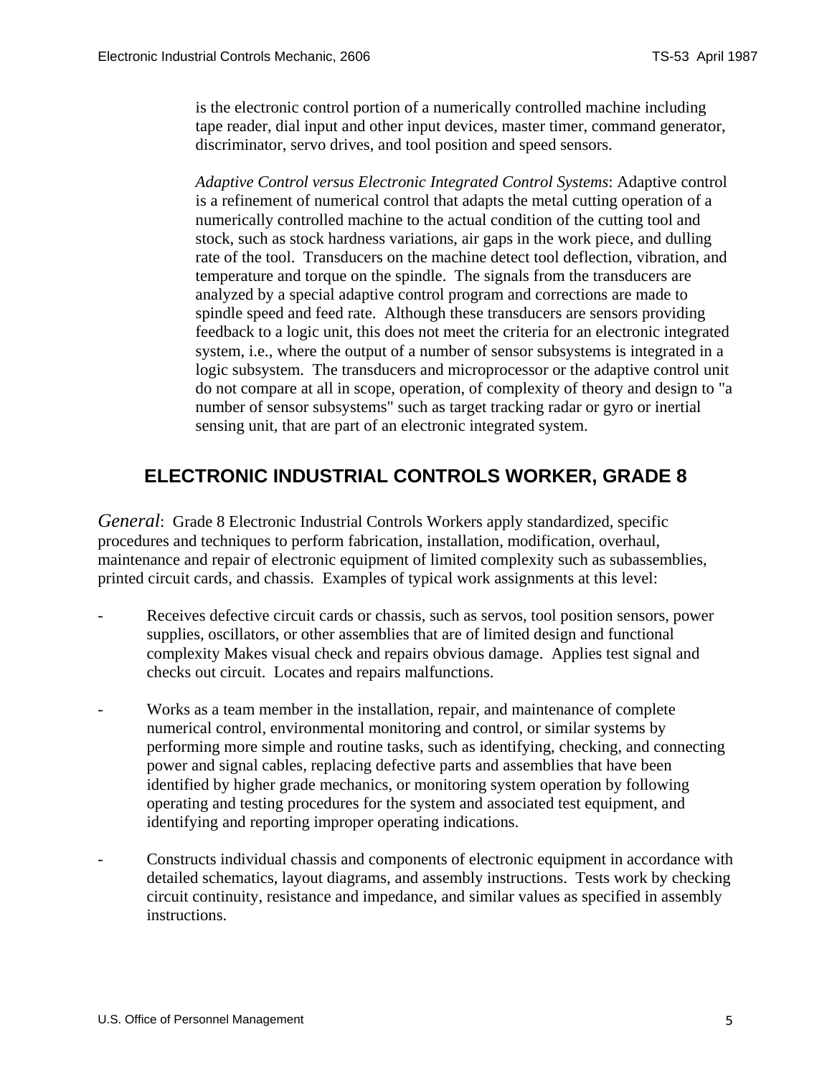<span id="page-4-0"></span>is the electronic control portion of a numerically controlled machine including tape reader, dial input and other input devices, master timer, command generator, discriminator, servo drives, and tool position and speed sensors.

*Adaptive Control versus Electronic Integrated Control Systems*: Adaptive control is a refinement of numerical control that adapts the metal cutting operation of a numerically controlled machine to the actual condition of the cutting tool and stock, such as stock hardness variations, air gaps in the work piece, and dulling rate of the tool. Transducers on the machine detect tool deflection, vibration, and temperature and torque on the spindle. The signals from the transducers are analyzed by a special adaptive control program and corrections are made to spindle speed and feed rate. Although these transducers are sensors providing feedback to a logic unit, this does not meet the criteria for an electronic integrated system, i.e., where the output of a number of sensor subsystems is integrated in a logic subsystem. The transducers and microprocessor or the adaptive control unit do not compare at all in scope, operation, of complexity of theory and design to "a number of sensor subsystems" such as target tracking radar or gyro or inertial sensing unit, that are part of an electronic integrated system.

#### **ELECTRONIC INDUSTRIAL CONTROLS WORKER, GRADE 8**

*General*: Grade 8 Electronic Industrial Controls Workers apply standardized, specific procedures and techniques to perform fabrication, installation, modification, overhaul, maintenance and repair of electronic equipment of limited complexity such as subassemblies, printed circuit cards, and chassis. Examples of typical work assignments at this level:

- Receives defective circuit cards or chassis, such as servos, tool position sensors, power supplies, oscillators, or other assemblies that are of limited design and functional complexity Makes visual check and repairs obvious damage. Applies test signal and checks out circuit. Locates and repairs malfunctions.
- Works as a team member in the installation, repair, and maintenance of complete numerical control, environmental monitoring and control, or similar systems by performing more simple and routine tasks, such as identifying, checking, and connecting power and signal cables, replacing defective parts and assemblies that have been identified by higher grade mechanics, or monitoring system operation by following operating and testing procedures for the system and associated test equipment, and identifying and reporting improper operating indications.
- Constructs individual chassis and components of electronic equipment in accordance with detailed schematics, layout diagrams, and assembly instructions. Tests work by checking circuit continuity, resistance and impedance, and similar values as specified in assembly instructions.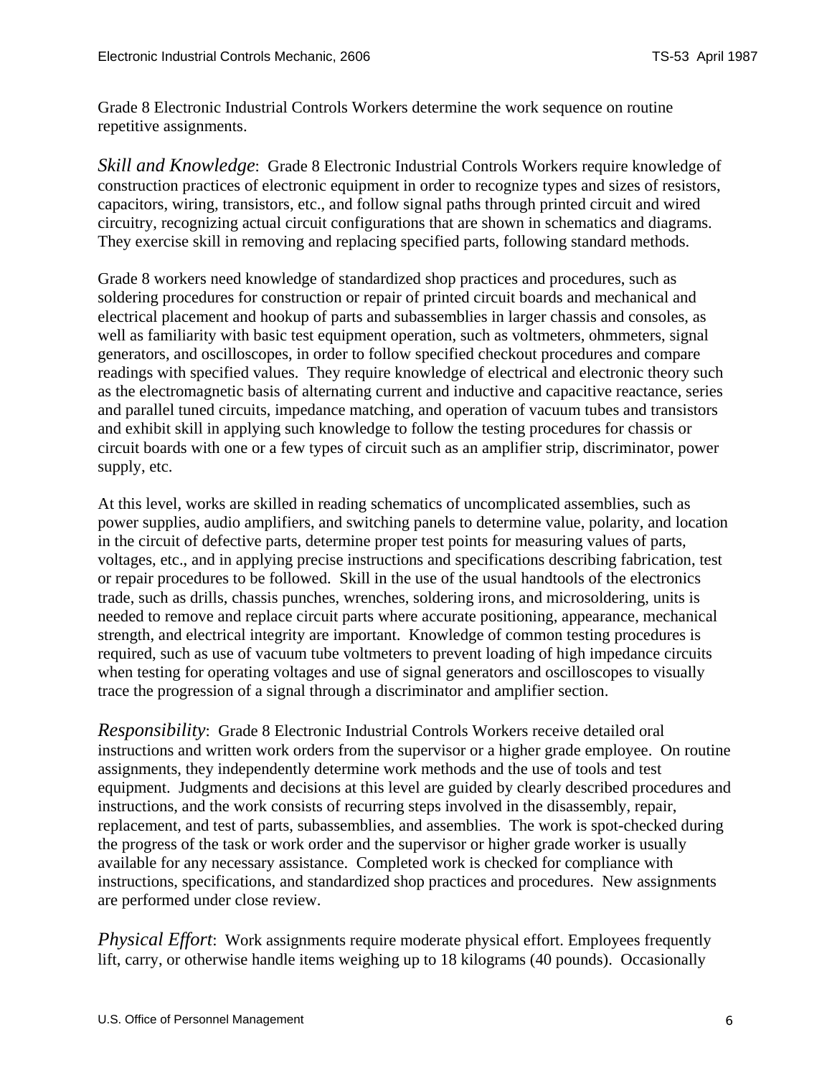Grade 8 Electronic Industrial Controls Workers determine the work sequence on routine repetitive assignments.

*Skill and Knowledge*: Grade 8 Electronic Industrial Controls Workers require knowledge of construction practices of electronic equipment in order to recognize types and sizes of resistors, capacitors, wiring, transistors, etc., and follow signal paths through printed circuit and wired circuitry, recognizing actual circuit configurations that are shown in schematics and diagrams. They exercise skill in removing and replacing specified parts, following standard methods.

Grade 8 workers need knowledge of standardized shop practices and procedures, such as soldering procedures for construction or repair of printed circuit boards and mechanical and electrical placement and hookup of parts and subassemblies in larger chassis and consoles, as well as familiarity with basic test equipment operation, such as voltmeters, ohmmeters, signal generators, and oscilloscopes, in order to follow specified checkout procedures and compare readings with specified values. They require knowledge of electrical and electronic theory such as the electromagnetic basis of alternating current and inductive and capacitive reactance, series and parallel tuned circuits, impedance matching, and operation of vacuum tubes and transistors and exhibit skill in applying such knowledge to follow the testing procedures for chassis or circuit boards with one or a few types of circuit such as an amplifier strip, discriminator, power supply, etc.

At this level, works are skilled in reading schematics of uncomplicated assemblies, such as power supplies, audio amplifiers, and switching panels to determine value, polarity, and location in the circuit of defective parts, determine proper test points for measuring values of parts, voltages, etc., and in applying precise instructions and specifications describing fabrication, test or repair procedures to be followed. Skill in the use of the usual handtools of the electronics trade, such as drills, chassis punches, wrenches, soldering irons, and microsoldering, units is needed to remove and replace circuit parts where accurate positioning, appearance, mechanical strength, and electrical integrity are important. Knowledge of common testing procedures is required, such as use of vacuum tube voltmeters to prevent loading of high impedance circuits when testing for operating voltages and use of signal generators and oscilloscopes to visually trace the progression of a signal through a discriminator and amplifier section.

*Responsibility*: Grade 8 Electronic Industrial Controls Workers receive detailed oral instructions and written work orders from the supervisor or a higher grade employee. On routine assignments, they independently determine work methods and the use of tools and test equipment. Judgments and decisions at this level are guided by clearly described procedures and instructions, and the work consists of recurring steps involved in the disassembly, repair, replacement, and test of parts, subassemblies, and assemblies. The work is spot-checked during the progress of the task or work order and the supervisor or higher grade worker is usually available for any necessary assistance. Completed work is checked for compliance with instructions, specifications, and standardized shop practices and procedures. New assignments are performed under close review.

*Physical Effort*: Work assignments require moderate physical effort. Employees frequently lift, carry, or otherwise handle items weighing up to 18 kilograms (40 pounds). Occasionally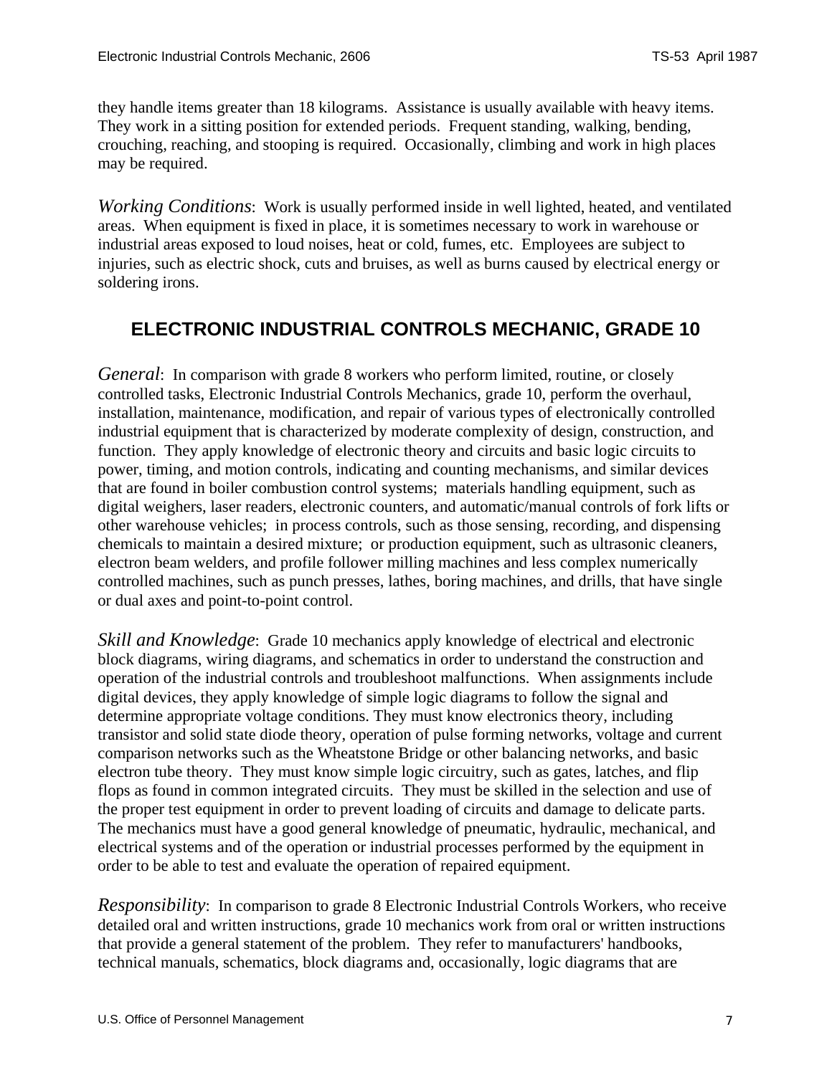<span id="page-6-0"></span>they handle items greater than 18 kilograms. Assistance is usually available with heavy items. They work in a sitting position for extended periods. Frequent standing, walking, bending, crouching, reaching, and stooping is required. Occasionally, climbing and work in high places may be required.

*Working Conditions*: Work is usually performed inside in well lighted, heated, and ventilated areas. When equipment is fixed in place, it is sometimes necessary to work in warehouse or industrial areas exposed to loud noises, heat or cold, fumes, etc. Employees are subject to injuries, such as electric shock, cuts and bruises, as well as burns caused by electrical energy or soldering irons.

#### **ELECTRONIC INDUSTRIAL CONTROLS MECHANIC, GRADE 10**

*General*: In comparison with grade 8 workers who perform limited, routine, or closely controlled tasks, Electronic Industrial Controls Mechanics, grade 10, perform the overhaul, installation, maintenance, modification, and repair of various types of electronically controlled industrial equipment that is characterized by moderate complexity of design, construction, and function. They apply knowledge of electronic theory and circuits and basic logic circuits to power, timing, and motion controls, indicating and counting mechanisms, and similar devices that are found in boiler combustion control systems; materials handling equipment, such as digital weighers, laser readers, electronic counters, and automatic/manual controls of fork lifts or other warehouse vehicles; in process controls, such as those sensing, recording, and dispensing chemicals to maintain a desired mixture; or production equipment, such as ultrasonic cleaners, electron beam welders, and profile follower milling machines and less complex numerically controlled machines, such as punch presses, lathes, boring machines, and drills, that have single or dual axes and point-to-point control.

*Skill and Knowledge*: Grade 10 mechanics apply knowledge of electrical and electronic block diagrams, wiring diagrams, and schematics in order to understand the construction and operation of the industrial controls and troubleshoot malfunctions. When assignments include digital devices, they apply knowledge of simple logic diagrams to follow the signal and determine appropriate voltage conditions. They must know electronics theory, including transistor and solid state diode theory, operation of pulse forming networks, voltage and current comparison networks such as the Wheatstone Bridge or other balancing networks, and basic electron tube theory. They must know simple logic circuitry, such as gates, latches, and flip flops as found in common integrated circuits. They must be skilled in the selection and use of the proper test equipment in order to prevent loading of circuits and damage to delicate parts. The mechanics must have a good general knowledge of pneumatic, hydraulic, mechanical, and electrical systems and of the operation or industrial processes performed by the equipment in order to be able to test and evaluate the operation of repaired equipment.

*Responsibility*: In comparison to grade 8 Electronic Industrial Controls Workers, who receive detailed oral and written instructions, grade 10 mechanics work from oral or written instructions that provide a general statement of the problem. They refer to manufacturers' handbooks, technical manuals, schematics, block diagrams and, occasionally, logic diagrams that are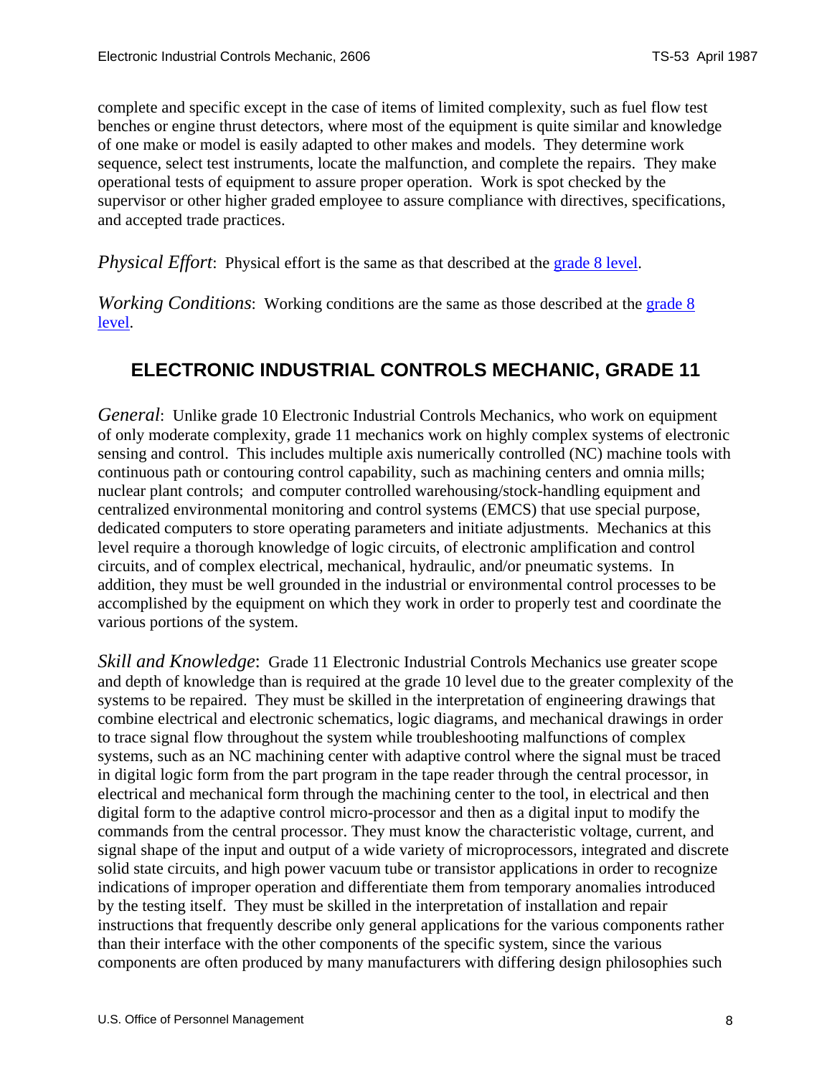<span id="page-7-0"></span>complete and specific except in the case of items of limited complexity, such as fuel flow test benches or engine thrust detectors, where most of the equipment is quite similar and knowledge of one make or model is easily adapted to other makes and models. They determine work sequence, select test instruments, locate the malfunction, and complete the repairs. They make operational tests of equipment to assure proper operation. Work is spot checked by the supervisor or other higher graded employee to assure compliance with directives, specifications, and accepted trade practices.

*Physical Effort*: Physical effort is the same as that described at the [grade 8 level.](#page-4-0)

*Working Conditions*: Working conditions are the same as those described at the grade 8 [level](#page-4-0).

#### **ELECTRONIC INDUSTRIAL CONTROLS MECHANIC, GRADE 11**

*General*: Unlike grade 10 Electronic Industrial Controls Mechanics, who work on equipment of only moderate complexity, grade 11 mechanics work on highly complex systems of electronic sensing and control. This includes multiple axis numerically controlled (NC) machine tools with continuous path or contouring control capability, such as machining centers and omnia mills; nuclear plant controls; and computer controlled warehousing/stock-handling equipment and centralized environmental monitoring and control systems (EMCS) that use special purpose, dedicated computers to store operating parameters and initiate adjustments. Mechanics at this level require a thorough knowledge of logic circuits, of electronic amplification and control circuits, and of complex electrical, mechanical, hydraulic, and/or pneumatic systems. In addition, they must be well grounded in the industrial or environmental control processes to be accomplished by the equipment on which they work in order to properly test and coordinate the various portions of the system.

*Skill and Knowledge*: Grade 11 Electronic Industrial Controls Mechanics use greater scope and depth of knowledge than is required at the grade 10 level due to the greater complexity of the systems to be repaired. They must be skilled in the interpretation of engineering drawings that combine electrical and electronic schematics, logic diagrams, and mechanical drawings in order to trace signal flow throughout the system while troubleshooting malfunctions of complex systems, such as an NC machining center with adaptive control where the signal must be traced in digital logic form from the part program in the tape reader through the central processor, in electrical and mechanical form through the machining center to the tool, in electrical and then digital form to the adaptive control micro-processor and then as a digital input to modify the commands from the central processor. They must know the characteristic voltage, current, and signal shape of the input and output of a wide variety of microprocessors, integrated and discrete solid state circuits, and high power vacuum tube or transistor applications in order to recognize indications of improper operation and differentiate them from temporary anomalies introduced by the testing itself. They must be skilled in the interpretation of installation and repair instructions that frequently describe only general applications for the various components rather than their interface with the other components of the specific system, since the various components are often produced by many manufacturers with differing design philosophies such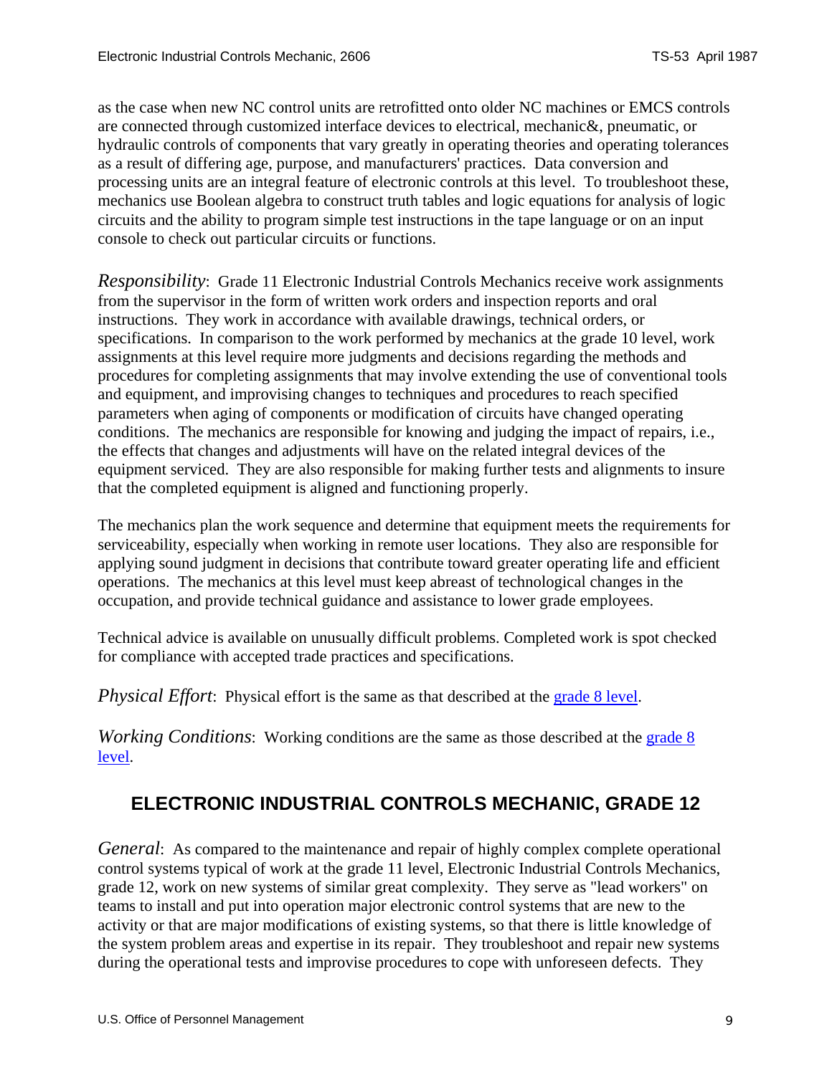<span id="page-8-0"></span>as the case when new NC control units are retrofitted onto older NC machines or EMCS controls are connected through customized interface devices to electrical, mechanic&, pneumatic, or hydraulic controls of components that vary greatly in operating theories and operating tolerances as a result of differing age, purpose, and manufacturers' practices. Data conversion and processing units are an integral feature of electronic controls at this level. To troubleshoot these, mechanics use Boolean algebra to construct truth tables and logic equations for analysis of logic circuits and the ability to program simple test instructions in the tape language or on an input console to check out particular circuits or functions.

*Responsibility*: Grade 11 Electronic Industrial Controls Mechanics receive work assignments from the supervisor in the form of written work orders and inspection reports and oral instructions. They work in accordance with available drawings, technical orders, or specifications. In comparison to the work performed by mechanics at the grade 10 level, work assignments at this level require more judgments and decisions regarding the methods and procedures for completing assignments that may involve extending the use of conventional tools and equipment, and improvising changes to techniques and procedures to reach specified parameters when aging of components or modification of circuits have changed operating conditions. The mechanics are responsible for knowing and judging the impact of repairs, i.e., the effects that changes and adjustments will have on the related integral devices of the equipment serviced. They are also responsible for making further tests and alignments to insure that the completed equipment is aligned and functioning properly.

The mechanics plan the work sequence and determine that equipment meets the requirements for serviceability, especially when working in remote user locations. They also are responsible for applying sound judgment in decisions that contribute toward greater operating life and efficient operations. The mechanics at this level must keep abreast of technological changes in the occupation, and provide technical guidance and assistance to lower grade employees.

Technical advice is available on unusually difficult problems. Completed work is spot checked for compliance with accepted trade practices and specifications.

*Physical Effort*: Physical effort is the same as that described at the [grade 8 level.](#page-4-0)

*Working Conditions*: Working conditions are the same as those described at the grade 8 [level](#page-4-0).

#### **ELECTRONIC INDUSTRIAL CONTROLS MECHANIC, GRADE 12**

*General*: As compared to the maintenance and repair of highly complex complete operational control systems typical of work at the grade 11 level, Electronic Industrial Controls Mechanics, grade 12, work on new systems of similar great complexity. They serve as "lead workers" on teams to install and put into operation major electronic control systems that are new to the activity or that are major modifications of existing systems, so that there is little knowledge of the system problem areas and expertise in its repair. They troubleshoot and repair new systems during the operational tests and improvise procedures to cope with unforeseen defects. They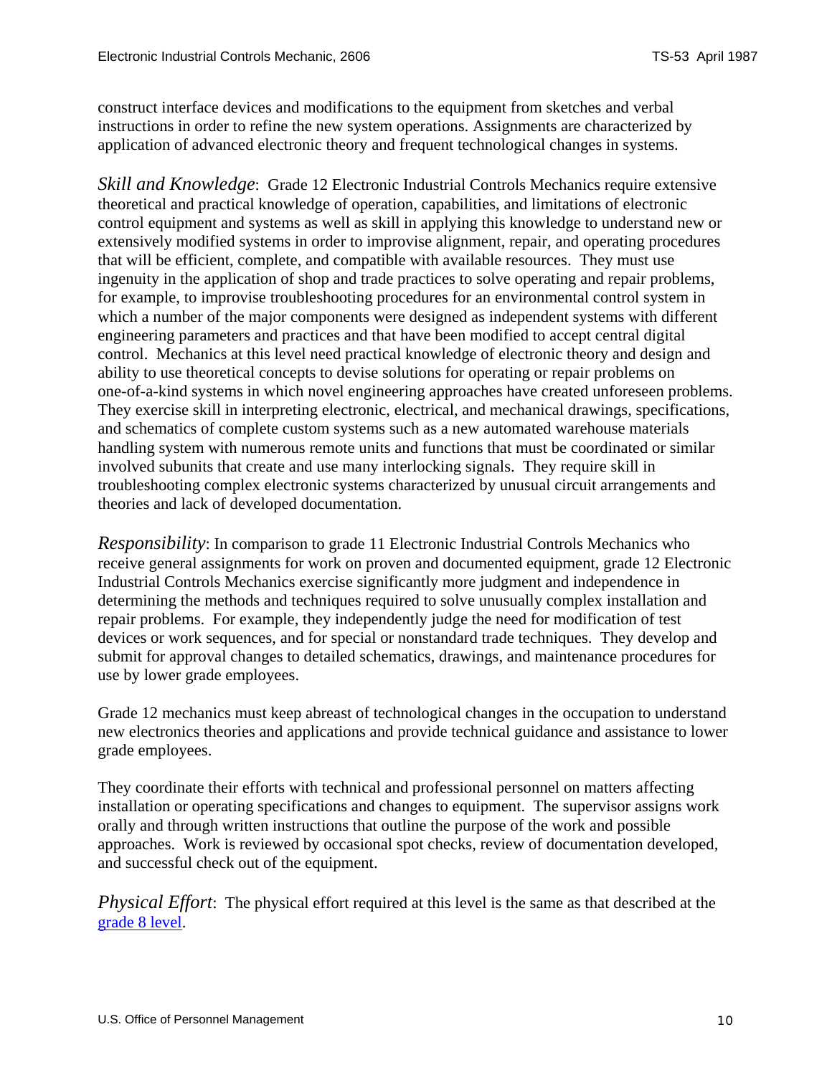construct interface devices and modifications to the equipment from sketches and verbal instructions in order to refine the new system operations. Assignments are characterized by application of advanced electronic theory and frequent technological changes in systems.

*Skill and Knowledge*: Grade 12 Electronic Industrial Controls Mechanics require extensive theoretical and practical knowledge of operation, capabilities, and limitations of electronic control equipment and systems as well as skill in applying this knowledge to understand new or extensively modified systems in order to improvise alignment, repair, and operating procedures that will be efficient, complete, and compatible with available resources. They must use ingenuity in the application of shop and trade practices to solve operating and repair problems, for example, to improvise troubleshooting procedures for an environmental control system in which a number of the major components were designed as independent systems with different engineering parameters and practices and that have been modified to accept central digital control. Mechanics at this level need practical knowledge of electronic theory and design and ability to use theoretical concepts to devise solutions for operating or repair problems on one-of-a-kind systems in which novel engineering approaches have created unforeseen problems. They exercise skill in interpreting electronic, electrical, and mechanical drawings, specifications, and schematics of complete custom systems such as a new automated warehouse materials handling system with numerous remote units and functions that must be coordinated or similar involved subunits that create and use many interlocking signals. They require skill in troubleshooting complex electronic systems characterized by unusual circuit arrangements and theories and lack of developed documentation.

*Responsibility*: In comparison to grade 11 Electronic Industrial Controls Mechanics who receive general assignments for work on proven and documented equipment, grade 12 Electronic Industrial Controls Mechanics exercise significantly more judgment and independence in determining the methods and techniques required to solve unusually complex installation and repair problems. For example, they independently judge the need for modification of test devices or work sequences, and for special or nonstandard trade techniques. They develop and submit for approval changes to detailed schematics, drawings, and maintenance procedures for use by lower grade employees.

Grade 12 mechanics must keep abreast of technological changes in the occupation to understand new electronics theories and applications and provide technical guidance and assistance to lower grade employees.

They coordinate their efforts with technical and professional personnel on matters affecting installation or operating specifications and changes to equipment. The supervisor assigns work orally and through written instructions that outline the purpose of the work and possible approaches. Work is reviewed by occasional spot checks, review of documentation developed, and successful check out of the equipment.

*Physical Effort*: The physical effort required at this level is the same as that described at the [grade 8 level.](#page-4-0)